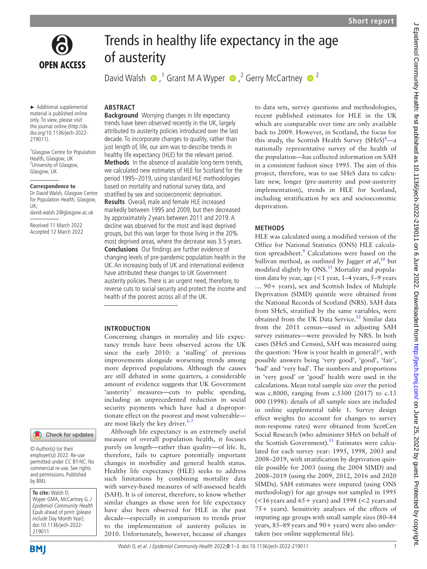

# Trends in healthy life expectancy in the age of austerity

DavidWalsh  $\bullet$ , <sup>1</sup> Grant M A Wyper  $\bullet$ , <sup>2</sup> Gerry McCartney  $\bullet$  <sup>2</sup>

► Additional supplemental material is published online only. To view, please visit the journal online [\(http://dx.](http://dx.doi.org/10.1136/jech-2022-219011) [doi.org/10.1136/jech-2022-](http://dx.doi.org/10.1136/jech-2022-219011) [219011](http://dx.doi.org/10.1136/jech-2022-219011)).

1 Glasgow Centre for Population Health, Glasgow, UK <sup>2</sup>University of Glasgow, Glasgow, UK

#### **Correspondence to**

Dr David Walsh, Glasgow Centre for Population Health, Glasgow, UK; david.walsh.2@glasgow.ac.uk

Received 11 March 2022 Accepted 12 March 2022

# Check for updates

© Author(s) (or their employer(s)) 2022. Re-use permitted under CC BY-NC. No commercial re-use. See rights and permissions. Published by BMJ.

**To cite:** Walsh D, Wyper GMA, McCartney G. J Epidemiol Community Health Epub ahead of print: [please include Day Month Year]. doi:10.1136/jech-2022- 219011

#### Walsh D, et al. J Epidemiol Community Health 2022;**0**:1–3. doi:10.1136/jech-2022-219011 1

# **ABSTRACT**

**Background** Worrying changes in life expectancy trends have been observed recently in the UK, largely attributed to austerity policies introduced over the last decade. To incorporate changes to quality, rather than just length of, life, our aim was to describe trends in healthy life expectancy (HLE) for the relevant period. **Methods** In the absence of available long-term trends, we calculated new estimates of HLE for Scotland for the period 1995–2019, using standard HLE methodologies based on mortality and national survey data, and stratified by sex and socioeconomic deprivation. **Results** Overall, male and female HLE increased markedly between 1995 and 2009, but then decreased by approximately 2 years between 2011 and 2019. A decline was observed for the most and least deprived groups, but this was larger for those living in the 20% most deprived areas, where the decrease was 3.5 years. **Conclusions** Our findings are further evidence of changing levels of pre-pandemic population health in the UK. An increasing body of UK and international evidence have attributed these changes to UK Government austerity policies. There is an urgent need, therefore, to reverse cuts to social security and protect the income and health of the poorest across all of the UK.

#### **INTRODUCTION**

Concerning changes in mortality and life expectancy trends have been observed across the UK since the early 2010: a 'stalling' of previous improvements alongside worsening trends among more deprived populations. Although the causes are still debated in some quarters, a considerable amount of evidence suggests that UK Government 'austerity' measures—cuts to public spending, including an unprecedented reduction in social security payments which have had a disproportionate effect on the poorest and most vulnerable are most likely the key driver. $1$ -

Although life expectancy is an extremely useful measure of overall population health, it focuses purely on length—rather than quality—of life. It, therefore, fails to capture potentially important changes in morbidity and general health status. Healthy life expectancy (HLE) seeks to address such limitations by combining mortality data with survey-based measures of self-assessed health (SAH). It is of interest, therefore, to know whether similar changes as those seen for life expectancy have also been observed for HLE in the past decade—especially in comparison to trends prior to the implementation of austerity policies in 2010. Unfortunately, however, because of changes to data sets, survey questions and methodologies, recent published estimates for HLE in the UK which are comparable over time are only available back to 2009. However, in Scotland, the focus for this study, the Scottish Health Survey  $(SHeS)^{8}$  $(SHeS)^{8}$  $(SHeS)^{8}$ —a nationally representative survey of the health of the population—has collected information on SAH in a consistent fashion since 1995. The aim of this project, therefore, was to use SHeS data to calculate new, longer (pre-austerity and post-austerity implementation), trends in HLE for Scotland, including stratification by sex and socioeconomic deprivation.

## **METHODS**

HLE was calculated using a modified version of the Office for National Statistics (ONS) HLE calcula-tion spreadsheet.<sup>[9](#page-2-2)</sup> Calculations were based on the Sullivan method, as outlined by Jagger *et al*, [10](#page-2-3) but modified slightly by ONS.<sup>11</sup> Mortality and population data by year, age (<1 year, 1–4 years, 5–9 years … 90+ years), sex and Scottish Index of Multiple Deprivation (SIMD) quintile were obtained from the National Records of Scotland (NRS). SAH data from SHeS, stratified by the same variables, were obtained from the UK Data Service.<sup>[12](#page-2-5)</sup> Similar data from the 2011 census—used in adjusting SAH survey estimates—were provided by NRS. In both cases (SHeS and Census), SAH was measured using the question: 'How is your health in general?', with possible answers being 'very good', 'good', 'fair', 'bad' and 'very bad'. The numbers and proportions in 'very good' or 'good' health were used in the calculations. Mean total sample size over the period was c.8000, ranging from c.5300 (2017) to c.13 000 (1998): details of all sample sizes are included in [online supplemental table 1.](https://dx.doi.org/10.1136/jech-2022-219011) Survey design effect weights (to account for changes to survey non-response rates) were obtained from ScotCen Social Research (who administer SHeS on behalf of the Scottish Government).<sup>13</sup> Estimates were calculated for each survey year: 1995, 1998, 2003 and 2008–2019, with stratification by deprivation quintile possible for 2003 (using the 2004 SIMD) and 2008–2019 (using the 2009, 2012, 2016 and 2020 SIMDs). SAH estimates were imputed (using ONS methodology) for age groups not sampled in 1995 (<16years and 65+ years) and 1998 (<2 years and 75+ years). Sensitivity analyses of the effects of imputing age groups with small sample sizes (80–84 years, 85–89 years and 90+ years) were also undertaken (see [online supplemental file](https://dx.doi.org/10.1136/jech-2022-219011)).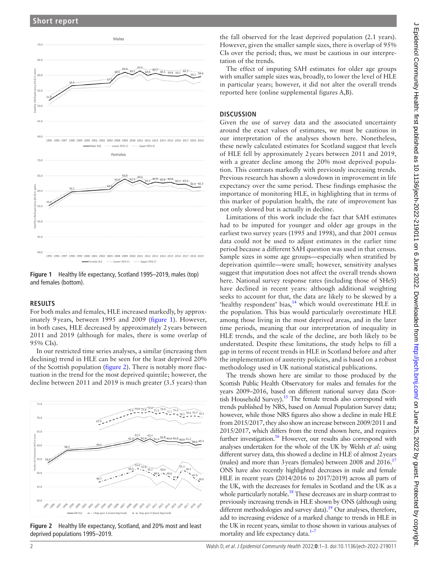

<span id="page-1-0"></span>**Figure 1** Healthy life expectancy, Scotland 1995–2019, males (top) and females (bottom).

#### **RESULTS**

For both males and females, HLE increased markedly, by approximately 9years, between 1995 and 2009 [\(figure](#page-1-0) 1). However, in both cases, HLE decreased by approximately 2years between 2011 and 2019 (although for males, there is some overlap of 95% CIs).

In our restricted time series analyses, a similar (increasing then declining) trend in HLE can be seen for the least deprived 20% of the Scottish population ([figure](#page-1-1) 2). There is notably more fluctuation in the trend for the most deprived quintile; however, the decline between 2011 and 2019 is much greater (3.5 years) than



<span id="page-1-1"></span>**Figure 2** Healthy life expectancy, Scotland, and 20% most and least deprived populations 1995–2019.

the fall observed for the least deprived population (2.1 years). However, given the smaller sample sizes, there is overlap of 95% CIs over the period; thus, we must be cautious in our interpretation of the trends.

The effect of imputing SAH estimates for older age groups with smaller sample sizes was, broadly, to lower the level of HLE in particular years; however, it did not alter the overall trends reported here ([online supplemental figures A,B\)](https://dx.doi.org/10.1136/jech-2022-219011).

## **DISCUSSION**

Given the use of survey data and the associated uncertainty around the exact values of estimates, we must be cautious in our interpretation of the analyses shown here. Nonetheless, these newly calculated estimates for Scotland suggest that levels of HLE fell by approximately 2years between 2011 and 2019, with a greater decline among the 20% most deprived population. This contrasts markedly with previously increasing trends. Previous research has shown a slowdown in improvement in life expectancy over the same period. These findings emphasise the importance of monitoring HLE, in highlighting that in terms of this marker of population health, the rate of improvement has not only slowed but is actually in decline.

Limitations of this work include the fact that SAH estimates had to be imputed for younger and older age groups in the earliest two survey years (1995 and 1998), and that 2001 census data could not be used to adjust estimates in the earlier time period because a different SAH question was used in that census. Sample sizes in some age groups—especially when stratified by deprivation quintile—were small; however, sensitivity analyses suggest that imputation does not affect the overall trends shown here. National survey response rates (including those of SHeS) have declined in recent years: although additional weighting seeks to account for that, the data are likely to be skewed by a 'healthy respondent' bias,<sup>14</sup> which would overestimate HLE in the population. This bias would particularly overestimate HLE among those living in the most deprived areas, and in the later time periods, meaning that our interpretation of inequality in HLE trends, and the scale of the decline, are both likely to be understated. Despite these limitations, the study helps to fill a gap in terms of recent trends in HLE in Scotland before and after the implementation of austerity policies, and is based on a robust methodology used in UK national statistical publications.

The trends shown here are similar to those produced by the Scottish Public Health Observatory for males and females for the years 2009–2016, based on different national survey data (Scottish Household Survey).<sup>15</sup> The female trends also correspond with trends published by NRS, based on Annual Population Survey data; however, while those NRS figures also show a decline in male HLE from 2015/2017, they also show an increase between 2009/2011 and 2015/2017, which differs from the trend shown here, and requires further investigation.<sup>16</sup> However, our results also correspond with analyses undertaken for the whole of the UK by Welsh *et al*: using different survey data, this showed a decline in HLE of almost 2years (males) and more than 3 years (females) between 2008 and  $2016$ <sup>17</sup> ONS have also recently highlighted decreases in male and female HLE in recent years (2014/2016 to 2017/2019) across all parts of the UK, with the decreases for females in Scotland and the UK as a whole particularly notable.<sup>18</sup> These decreases are in sharp contrast to previously increasing trends in HLE shown by ONS (although using different methodologies and survey data).<sup>19</sup> Our analyses, therefore, add to increasing evidence of a marked change to trends in HLE in the UK in recent years, similar to those shown in various analyses of mortality and life expectancy data. $1-7$